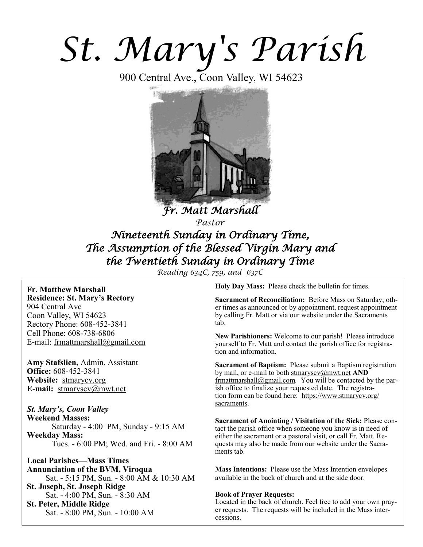# *St. Mary's Parish*

900 Central Ave., Coon Valley, WI 54623



*Fr. Matt Marshall Pastor Nineteenth Sunday in Ordinary Time, The Assumption of the Blessed Virgin Mary and the Twentieth Sunday in Ordinary Time* 

*Reading 634C, 759, and 637C*

## **Fr. Matthew Marshall Residence: St. Mary's Rectory** 904 Central Ave Coon Valley, WI 54623 Rectory Phone: 608-452-3841 Cell Phone: 608-738-6806

E-mail: [frmattmarshall@gmail.com](mailto:frmattmarshall@gmail.com)

**Amy Stafslien,** Admin. Assistant **Office:** 608-452-3841 **Website:** <stmarycv.org> **E-mail:** [stmaryscv@mwt.net](mailto:stmaryscv@mwt.net)

*St. Mary's, Coon Valley*  **Weekend Masses:** Saturday - 4:00 PM, Sunday - 9:15 AM **Weekday Mass:**  Tues. - 6:00 PM; Wed. and Fri. - 8:00 AM

**Local Parishes—Mass Times Annunciation of the BVM, Viroqua** Sat. - 5:15 PM, Sun. - 8:00 AM & 10:30 AM **St. Joseph, St. Joseph Ridge** Sat. - 4:00 PM, Sun. - 8:30 AM **St. Peter, Middle Ridge** Sat. - 8:00 PM, Sun. - 10:00 AM

**Holy Day Mass:** Please check the bulletin for times.

**Sacrament of Reconciliation:** Before Mass on Saturday; other times as announced or by appointment, request appointment by calling Fr. Matt or via our website under the Sacraments tab.

**New Parishioners:** Welcome to our parish! Please introduce yourself to Fr. Matt and contact the parish office for registration and information.

**Sacrament of Baptism:** Please submit a Baptism registration by mail, or e-mail to both [stmaryscv@mwt.net](mailto:stmaryscv@mwt.net) **AND** [frmattmarshall@gmail.com](mailto:frmattmarshall@gmail.com)*.* You will be contacted by the parish office to finalize your requested date. The registration form can be found here: [https://www.stmarycv.org/](https://www.stmarycv.org/sacraments) [sacraments.](https://www.stmarycv.org/sacraments) 

**Sacrament of Anointing / Visitation of the Sick:** Please contact the parish office when someone you know is in need of either the sacrament or a pastoral visit, or call Fr. Matt. Requests may also be made from our website under the Sacraments tab.

**Mass Intentions:** Please use the Mass Intention envelopes available in the back of church and at the side door.

#### **Book of Prayer Requests:**

Located in the back of church. Feel free to add your own prayer requests. The requests will be included in the Mass intercessions.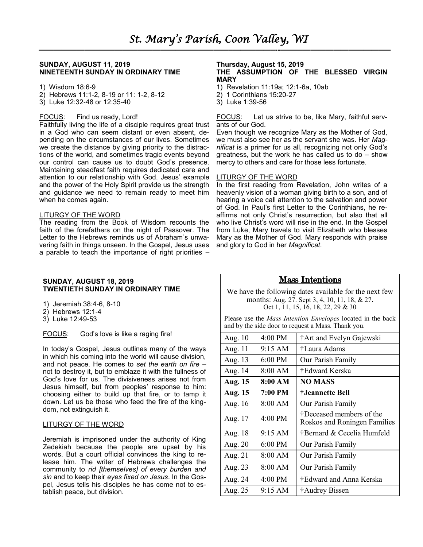#### **SUNDAY, AUGUST 11, 2019 NINETEENTH SUNDAY IN ORDINARY TIME**

- 1) Wisdom 18:6-9
- 2) Hebrews 11:1-2, 8-19 or 11: 1-2, 8-12
- 3) Luke 12:32-48 or 12:35-40

#### FOCUS: Find us ready, Lord!

Faithfully living the life of a disciple requires great trust in a God who can seem distant or even absent, depending on the circumstances of our lives. Sometimes we create the distance by giving priority to the distractions of the world, and sometimes tragic events beyond our control can cause us to doubt God's presence. Maintaining steadfast faith requires dedicated care and attention to our relationship with God. Jesus' example and the power of the Holy Spirit provide us the strength and guidance we need to remain ready to meet him when he comes again.

#### LITURGY OF THE WORD

The reading from the Book of Wisdom recounts the faith of the forefathers on the night of Passover. The Letter to the Hebrews reminds us of Abraham's unwavering faith in things unseen. In the Gospel, Jesus uses a parable to teach the importance of right priorities –

#### **SUNDAY, AUGUST 18, 2019 TWENTIETH SUNDAY IN ORDINARY TIME**

- 1) Jeremiah 38:4-6, 8-10
- 2) Hebrews 12:1-4
- 3) Luke 12:49-53

#### FOCUS: God's love is like a raging fire!

In today's Gospel, Jesus outlines many of the ways in which his coming into the world will cause division, and not peace. He comes to *set the earth on fire* – not to destroy it, but to emblaze it with the fullness of God's love for us. The divisiveness arises not from Jesus himself, but from peoples' response to him: choosing either to build up that fire, or to tamp it down. Let us be those who feed the fire of the kingdom, not extinguish it.

#### LITURGY OF THE WORD

Jeremiah is imprisoned under the authority of King Zedekiah because the people are upset by his words. But a court official convinces the king to release him. The writer of Hebrews challenges the community to *rid [themselves] of every burden and sin* and to keep their *eyes fixed on Jesus*. In the Gospel, Jesus tells his disciples he has come not to establish peace, but division.

#### **Thursday, August 15, 2019 THE ASSUMPTION OF THE BLESSED VIRGIN MARY**

- 1) Revelation 11:19a; 12:1-6a, 10ab
- 2) 1 Corinthians 15:20-27
- 3) Luke 1:39-56

FOCUS: Let us strive to be, like Mary, faithful servants of our God.

Even though we recognize Mary as the Mother of God, we must also see her as the servant she was. Her *Magnificat* is a primer for us all, recognizing not only God's greatness, but the work he has called us to do – show mercy to others and care for those less fortunate.

#### LITURGY OF THE WORD

In the first reading from Revelation, John writes of a heavenly vision of a woman giving birth to a son, and of hearing a voice call attention to the salvation and power of God. In Paul's first Letter to the Corinthians, he reaffirms not only Christ's resurrection, but also that all who live Christ's word will rise in the end. In the Gospel from Luke, Mary travels to visit Elizabeth who blesses Mary as the Mother of God. Mary responds with praise and glory to God in her *Magnificat*.

#### Mass Intentions

We have the following dates available for the next few months: Aug. 27. Sept 3, 4, 10, 11, 18, & 27**.**  Oct 1, 11, 15, 16, 18, 22, 29 & 30

Please use the *Mass Intention Envelopes* located in the back and by the side door to request a Mass. Thank you.

| Aug. 10        | 4:00 PM                   | †Art and Evelyn Gajewski                                 |
|----------------|---------------------------|----------------------------------------------------------|
| Aug. 11        | $9:15$ AM                 | †Laura Adams                                             |
| Aug. 13        | 6:00 PM                   | Our Parish Family                                        |
| Aug. 14        | 8:00 AM                   | †Edward Kerska                                           |
| <b>Aug. 15</b> | 8:00 AM<br><b>NO MASS</b> |                                                          |
| <b>Aug. 15</b> | 7:00 PM                   | †Jeannette Bell                                          |
| Aug. 16        | 8:00 AM                   | Our Parish Family                                        |
| Aug. 17        | $4:00 \text{ PM}$         | †Deceased members of the<br>Roskos and Roningen Families |
| Aug. 18        | 9:15 AM                   | †Bernard & Cecelia Humfeld                               |
| Aug. 20        | 6:00 PM                   | Our Parish Family                                        |
| Aug. 21        | 8:00 AM                   | Our Parish Family                                        |
| Aug. 23        | 8:00 AM                   | Our Parish Family                                        |
| Aug. 24        | $4:00$ PM                 | †Edward and Anna Kerska                                  |
| Aug. 25        | $9:15 \text{ AM}$         | †Audrey Bissen                                           |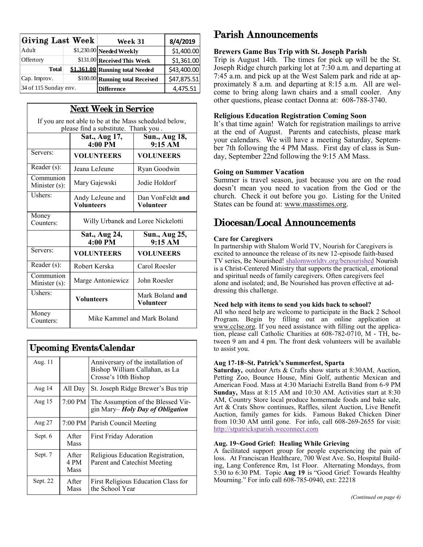| Giving Last Week      |  | Week 31                         | 8/4/2019    |
|-----------------------|--|---------------------------------|-------------|
| Adult                 |  | $$1,230.00$ Needed Weekly       | \$1,400.00  |
| Offertory             |  | \$131.00 Received This Week     | \$1,361.00  |
| <b>Total</b>          |  | \$1,361.00 Running total Needed | \$43,400.00 |
| Cap. Improv.          |  | \$100.00 Running total Received | \$47,875.51 |
| 34 of 115 Sunday env. |  | <b>Difference</b>               | 4,475.51    |

|                                                                                                | <b>Next Week in Service</b>        |                                      |  |  |  |
|------------------------------------------------------------------------------------------------|------------------------------------|--------------------------------------|--|--|--|
| If you are not able to be at the Mass scheduled below,<br>please find a substitute. Thank you. |                                    |                                      |  |  |  |
|                                                                                                | Sat., Aug 17,<br>4:00 PM           | Sun., Aug 18,<br>9:15 AM             |  |  |  |
| Servers:                                                                                       | <b>VOLUNTEERS</b>                  | <b>VOLUNEERS</b>                     |  |  |  |
| Reader (s):                                                                                    | Jeana LeJeune                      | Ryan Goodwin                         |  |  |  |
| Communion<br>Minister (s):                                                                     | Mary Gajewski                      | Jodie Holdorf                        |  |  |  |
| Ushers:                                                                                        | Andy LeJeune and<br>Volunteers     | Dan VonFeldt and<br><b>Volunteer</b> |  |  |  |
| Money<br>Counters:                                                                             | Willy Urbanek and Loree Nickelotti |                                      |  |  |  |
|                                                                                                | Sat., Aug 24,<br>4:00 PM           | Sun., Aug 25,<br>9:15 AM             |  |  |  |
| Servers:                                                                                       | <b>VOLUNTEERS</b>                  | <b>VOLUNEERS</b>                     |  |  |  |
| Reader (s):                                                                                    | Robert Kerska                      | Carol Roesler                        |  |  |  |
| Communion<br>Minister (s):                                                                     | Marge Antoniewicz                  | John Roesler                         |  |  |  |
| Ushers:                                                                                        | <b>Volunteers</b>                  | Mark Boland and<br>Volunteer         |  |  |  |
| Money<br>Counters:                                                                             | Mike Kammel and Mark Boland        |                                      |  |  |  |

| <b>Upcoming Events/Calendar</b> |                        |                                                                                              |  |  |
|---------------------------------|------------------------|----------------------------------------------------------------------------------------------|--|--|
| Aug. 11                         |                        | Anniversary of the installation of<br>Bishop William Callahan, as La<br>Crosse's 10th Bishop |  |  |
| Aug 14                          | All Day                | St. Joseph Ridge Brewer's Bus trip                                                           |  |  |
| Aug $15$                        | 7:00 PM                | The Assumption of the Blessed Vir-<br>gin Mary-Holy Day of Obligation                        |  |  |
| Aug 27                          | 7:00 PM                | Parish Council Meeting                                                                       |  |  |
| Sept. 6                         | A fter<br>Mass         | <b>First Friday Adoration</b>                                                                |  |  |
| Sept. 7                         | A fter<br>4 PM<br>Mass | Religious Education Registration,<br>Parent and Catechist Meeting                            |  |  |
| Sept. 22                        | A fter<br>Mass         | First Religious Education Class for<br>the School Year                                       |  |  |

# Parish Announcements

### **Brewers Game Bus Trip with St. Joseph Parish**

Trip is August 14th. The times for pick up will be the St. Joseph Ridge church parking lot at 7:30 a.m. and departing at 7:45 a.m. and pick up at the West Salem park and ride at approximately 8 a.m. and departing at 8:15 a.m. All are welcome to bring along lawn chairs and a small cooler. Any other questions, please contact Donna at: 608-788-3740.

## **Religious Education Registration Coming Soon**

It's that time again! Watch for registration mailings to arrive at the end of August. Parents and catechists, please mark your calendars. We will have a meeting Saturday, September 7th following the 4 PM Mass. First day of class is Sunday, September 22nd following the 9:15 AM Mass.

### **Going on Summer Vacation**

Summer is travel season, just because you are on the road doesn't mean you need to vacation from the God or the church. Check it out before you go. Listing for the United States can be found at: [www.masstimes.org.](http://www.masstimes.org)

# Diocesan/Local Announcements

### **Care for Caregivers**

In partnership with Shalom World TV, Nourish for Caregivers is excited to announce the release of its new 12-episode faith-based TV series, Be Nourished! [shalomworldtv.org/benourished](https://www.shalomworldtv.org/benourished) Nourish is a Christ-Centered Ministry that supports the practical, emotional and spiritual needs of family caregivers. Often caregivers feel alone and isolated; and, Be Nourished has proven effective at addressing this challenge.

#### **Need help with items to send you kids back to school?**

All who need help are welcome to participate in the Back 2 School Program. Begin by filling out an online application at [www.cclse.org.](http://r20.rs6.net/tn.jsp?f=001vP1yTA1agDHitANuh50h6F4GH43jx5xzlxmwHCSotIevVTZuiG_srM59P56kitcrR0UIPFVZojivHC4ZtBqtvqz2Rp3TpCjzrbf_15gz2oksNlGf4xhjM9oEZDuBHK6m4o9nrGGkDcoJZ1Fu51M_BraGg8rz7sdTq_O-kgsYcRhIanm8HEMcsp61waA7cIdAQpm87c46Pg_LpWiNJY1YMgEbe6O9LrQJ55XF) If you need assistance with filling out the application, please call Catholic Charities at 608-782-0710, M - TH, between 9 am and 4 pm. The front desk volunteers will be available to assist you.

### **Aug 17-18~St. Patrick's Summerfest, Sparta**

**Saturday,** outdoor Arts & Crafts show starts at 8:30AM, Auction, Petting Zoo, Bounce House, Mini Golf, authentic Mexican and American Food. Mass at 4:30 Mariachi Estrella Band from 6-9 PM **Sunday,** Mass at 8:15 AM and 10:30 AM. Activities start at 8:30 AM, Country Store local produce homemade foods and bake sale, Art & Crats Show continues, Raffles, silent Auction, Live Benefit Auction, family games for kids. Famous Baked Chicken Diner from 10:30 AM until gone. For info, call 608-269-2655 for visit: <http://stpatricksparish.weconnect.com>

### **Aug. 19~Good Grief: Healing While Grieving**

A facilitated support group for people experiencing the pain of loss. At Franciscan Healthcare, 700 West Ave. So, Hospital Building, Lang Conference Rm, 1st Floor. Alternating Mondays, from 5:30 to 6:30 PM. Topic **Aug 19** is "Good Grief: Towards Healthy Mourning." For info call 608-785-0940, ext: 22218